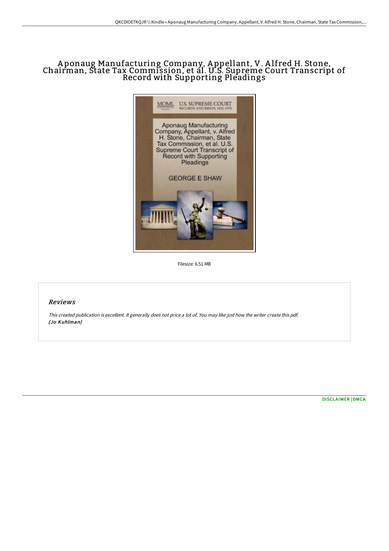## A ponaug Manufacturing Company, A ppellant, V. A lfred H. Stone, Chairman, State Tax Commission, et al. U.S. Supreme Court Transcript of Record with Supporting Pleadings



Filesize: 6.51 MB

## Reviews

This created publication is excellent. It generally does not price <sup>a</sup> lot of. You may like just how the writer create this pdf. (Jo Kuhlman)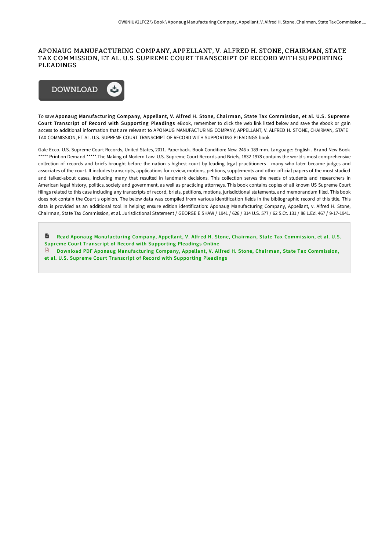## APONAUG MANUFACTURING COMPANY, APPELLANT, V. ALFRED H. STONE, CHAIRMAN, STATE TAX COMMISSION, ET AL. U.S. SUPREME COURT TRANSCRIPT OF RECORD WITH SUPPORTING PLEADINGS



To save Aponaug Manufacturing Company, Appellant, V. Alfred H. Stone, Chairman, State Tax Commission, et al. U.S. Supreme Court Transcript of Record with Supporting Pleadings eBook, remember to click the web link listed below and save the ebook or gain access to additional information that are relevant to APONAUG MANUFACTURING COMPANY, APPELLANT, V. ALFRED H. STONE, CHAIRMAN, STATE TAX COMMISSION, ET AL. U.S. SUPREME COURT TRANSCRIPT OF RECORD WITH SUPPORTING PLEADINGS book.

Gale Ecco, U.S. Supreme Court Records, United States, 2011. Paperback. Book Condition: New. 246 x 189 mm. Language: English . Brand New Book \*\*\*\*\* Print on Demand \*\*\*\*\*.The Making of Modern Law: U.S. Supreme Court Records and Briefs, 1832-1978 contains the world s most comprehensive collection of records and briefs brought before the nation s highest court by leading legal practitioners - many who later became judges and associates of the court. It includes transcripts, applications for review, motions, petitions, supplements and other official papers of the most-studied and talked-about cases, including many that resulted in landmark decisions. This collection serves the needs of students and researchers in American legal history, politics, society and government, as well as practicing attorneys. This book contains copies of all known US Supreme Court filings related to this case including any transcripts of record, briefs, petitions, motions, jurisdictional statements, and memorandum filed. This book does not contain the Court s opinion. The below data was compiled from various identification fields in the bibliographic record of this title. This data is provided as an additional tool in helping ensure edition identification: Aponaug Manufacturing Company, Appellant, v. Alfred H. Stone, Chairman, State Tax Commission, et al. Jurisdictional Statement / GEORGE E SHAW / 1941 / 626 / 314 U.S. 577 / 62 S.Ct. 131 / 86 L.Ed. 467 / 9-17-1941.

D Read Aponaug [Manufacturing](http://www.bookdirs.com/aponaug-manufacturing-company-appellant-v-alfred.html) Company, Appellant, V. Alfred H. Stone, Chairman, State Tax Commission, et al. U.S. Supreme Court Transcript of Record with Supporting Pleadings Online Download PDF Aponaug [Manufacturing](http://www.bookdirs.com/aponaug-manufacturing-company-appellant-v-alfred.html) Company, Appellant, V. Alfred H. Stone, Chairman, State Tax Commission,

et al. U.S. Supreme Court Transcript of Record with Supporting Pleadings